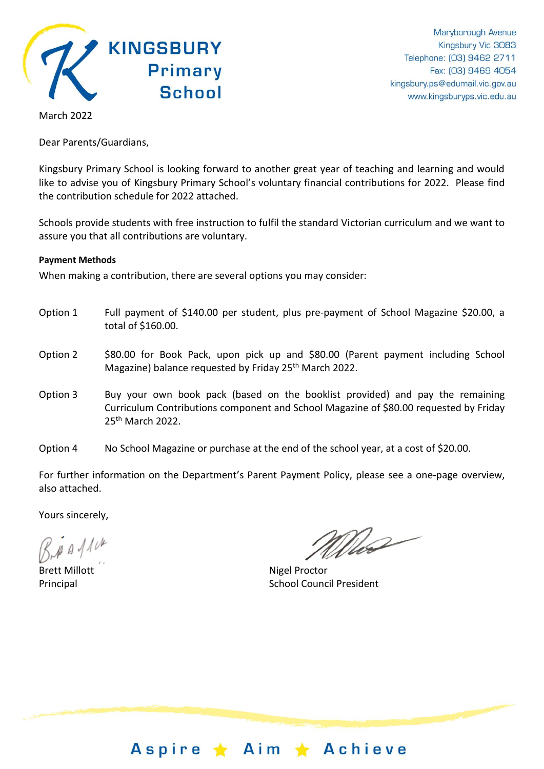

March 2022

Dear Parents/Guardians,

Kingsbury Primary School is looking forward to another great year of teaching and learning and would like to advise you of Kingsbury Primary School's voluntary financial contributions for 2022. Please find the contribution schedule for 2022 attached.

Schools provide students with free instruction to fulfil the standard Victorian curriculum and we want to assure you that all contributions are voluntary.

#### **Payment Methods**

When making a contribution, there are several options you may consider:

- Option 1 Full payment of \$140.00 per student, plus pre-payment of School Magazine \$20.00, a total of \$160.00.
- Option 2 \$80.00 for Book Pack, upon pick up and \$80.00 (Parent payment including School Magazine) balance requested by Friday 25<sup>th</sup> March 2022.
- Option 3 Buy your own book pack (based on the booklist provided) and pay the remaining Curriculum Contributions component and School Magazine of \$80.00 requested by Friday 25th March 2022.
- Option 4 No School Magazine or purchase at the end of the school year, at a cost of \$20.00.

For further information on the Department's Parent Payment Policy, please see a one-page overview, also attached.

Yours sincerely,

 $\mu$   $\beta$  /1  $\mu$ 

Brett Millott Nigel Proctor

Who

Principal **School Council President** 

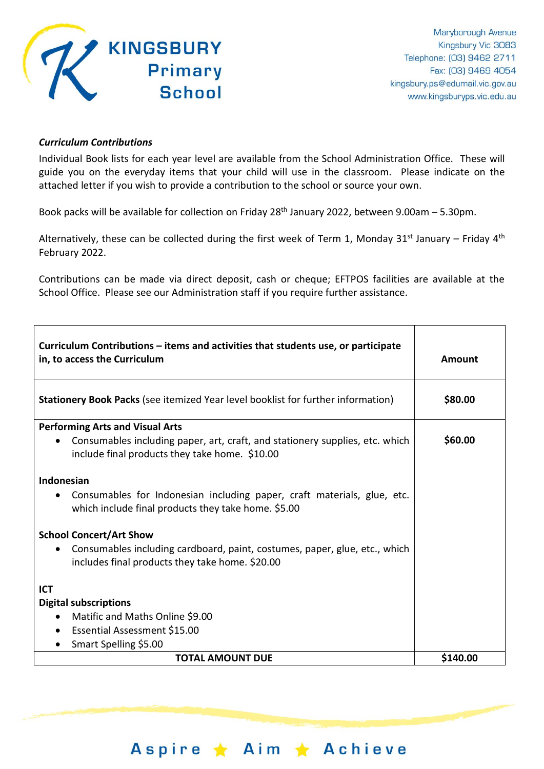

### *Curriculum Contributions*

Individual Book lists for each year level are available from the School Administration Office. These will guide you on the everyday items that your child will use in the classroom. Please indicate on the attached letter if you wish to provide a contribution to the school or source your own.

Book packs will be available for collection on Friday 28<sup>th</sup> January 2022, between 9.00am – 5.30pm.

Alternatively, these can be collected during the first week of Term 1, Monday 31<sup>st</sup> January – Friday 4<sup>th</sup> February 2022.

Contributions can be made via direct deposit, cash or cheque; EFTPOS facilities are available at the School Office. Please see our Administration staff if you require further assistance.

| Curriculum Contributions - items and activities that students use, or participate<br>in, to access the Curriculum                           | Amount   |
|---------------------------------------------------------------------------------------------------------------------------------------------|----------|
| <b>Stationery Book Packs</b> (see itemized Year level booklist for further information)                                                     | \$80.00  |
| <b>Performing Arts and Visual Arts</b>                                                                                                      |          |
| Consumables including paper, art, craft, and stationery supplies, etc. which<br>$\bullet$<br>include final products they take home. \$10.00 | \$60.00  |
| Indonesian                                                                                                                                  |          |
| Consumables for Indonesian including paper, craft materials, glue, etc.<br>which include final products they take home. \$5.00              |          |
| <b>School Concert/Art Show</b><br>Consumables including cardboard, paint, costumes, paper, glue, etc., which<br>$\bullet$                   |          |
| includes final products they take home. \$20.00                                                                                             |          |
| <b>ICT</b>                                                                                                                                  |          |
| <b>Digital subscriptions</b>                                                                                                                |          |
| Matific and Maths Online \$9.00<br>$\bullet$                                                                                                |          |
| Essential Assessment \$15.00<br>$\bullet$                                                                                                   |          |
| Smart Spelling \$5.00                                                                                                                       |          |
| <b>TOTAL AMOUNT DUE</b>                                                                                                                     | \$140.00 |

Aspire ★ Aim ★ Achieve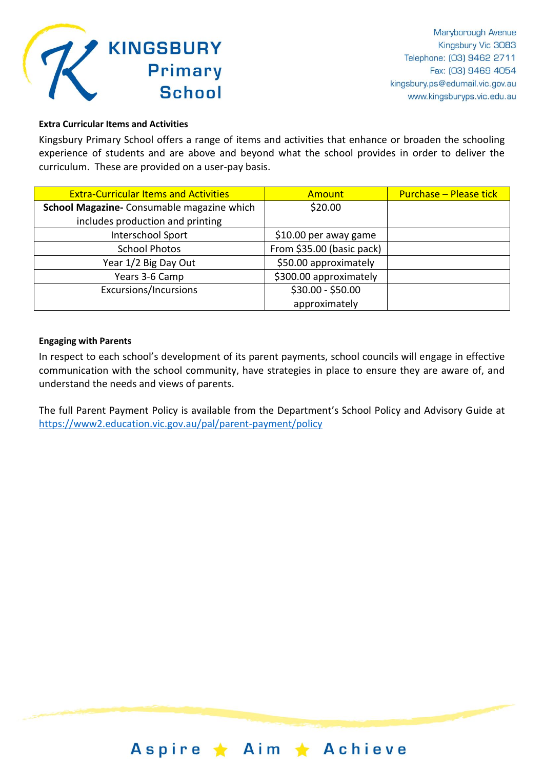

#### **Extra Curricular Items and Activities**

Kingsbury Primary School offers a range of items and activities that enhance or broaden the schooling experience of students and are above and beyond what the school provides in order to deliver the curriculum. These are provided on a user-pay basis.

| <b>Extra-Curricular Items and Activities</b> | <b>Amount</b>             | <b>Purchase - Please tick</b> |
|----------------------------------------------|---------------------------|-------------------------------|
| School Magazine- Consumable magazine which   | \$20.00                   |                               |
| includes production and printing             |                           |                               |
| Interschool Sport                            | \$10.00 per away game     |                               |
| <b>School Photos</b>                         | From \$35.00 (basic pack) |                               |
| Year 1/2 Big Day Out                         | \$50.00 approximately     |                               |
| Years 3-6 Camp                               | \$300.00 approximately    |                               |
| <b>Excursions/Incursions</b>                 | \$30.00 - \$50.00         |                               |
|                                              | approximately             |                               |

#### **Engaging with Parents**

In respect to each school's development of its parent payments, school councils will engage in effective communication with the school community, have strategies in place to ensure they are aware of, and understand the needs and views of parents.

The full Parent Payment Policy is available from the Department's School Policy and Advisory Guide at <https://www2.education.vic.gov.au/pal/parent-payment/policy>

## Aspire ★ Aim ★ Achieve